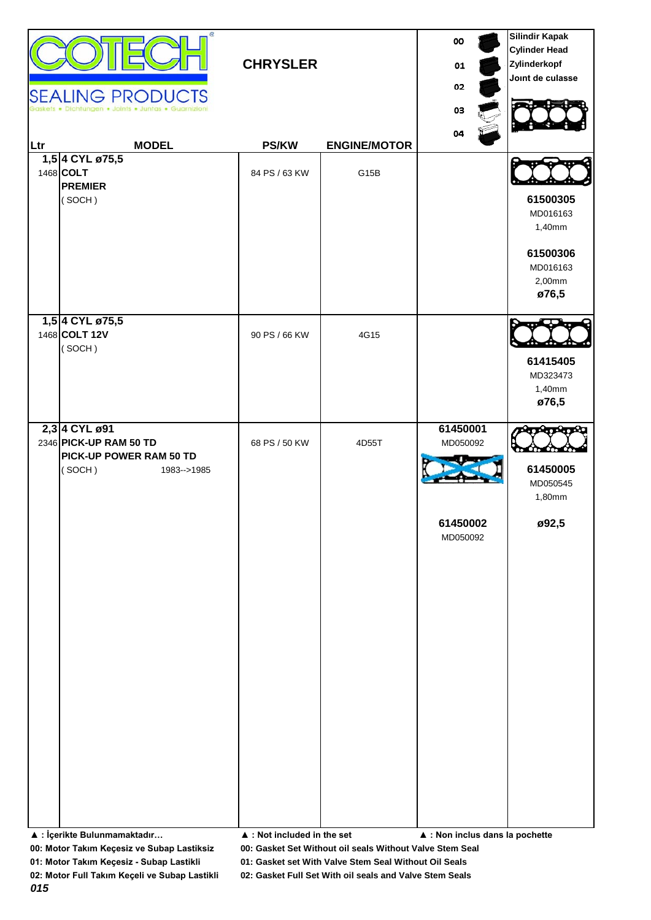| <b>CHRYSLER</b><br><b>SEALING PRODUCTS</b><br>Dichtungen . Joints . Juntas . Guarnizion |                                                                                                                             |                                                             |                     | 00<br>01<br>02<br>03                                                                           | <b>Silindir Kapak</b><br><b>Cylinder Head</b><br>Zylinderkopf<br>Joint de culasse |
|-----------------------------------------------------------------------------------------|-----------------------------------------------------------------------------------------------------------------------------|-------------------------------------------------------------|---------------------|------------------------------------------------------------------------------------------------|-----------------------------------------------------------------------------------|
| Ltr                                                                                     | <b>MODEL</b>                                                                                                                | <b>PS/KW</b>                                                | <b>ENGINE/MOTOR</b> | 04                                                                                             |                                                                                   |
|                                                                                         | 1,5 4 CYL ø75,5<br>1468 COLT<br><b>PREMIER</b><br>(SOCH)                                                                    | 84 PS / 63 KW                                               | G15B                |                                                                                                | 61500305<br>MD016163<br>1,40mm<br>61500306<br>MD016163<br>2,00mm<br>ø76,5         |
|                                                                                         | 1,5 4 CYL ø75,5<br>1468 COLT 12V<br>(SOCH)                                                                                  | 90 PS / 66 KW                                               | 4G15                |                                                                                                | 61415405<br>MD323473<br>1,40mm<br>ø76,5                                           |
|                                                                                         | 2,3 4 CYL ø91<br>2346 PICK-UP RAM 50 TD<br>PICK-UP POWER RAM 50 TD<br>(SOCH)<br>1983-->1985<br>▲ : İçerikte Bulunmamaktadır | 68 PS / 50 KW<br>$\blacktriangle$ : Not included in the set | 4D55T               | 61450001<br>MD050092<br>61450002<br>MD050092<br>$\blacktriangle$ : Non inclus dans la pochette | 61450005<br>MD050545<br>1,80mm<br>ø92,5                                           |

**00: Motor Takım Keçesiz ve Subap Lastiksiz 00: Gasket Set Without oil seals Without Valve Stem Seal**

**01: Motor Takım Keçesiz - Subap Lastikli 01: Gasket set With Valve Stem Seal Without Oil Seals**

*015*

**02: Motor Full Takım Keçeli ve Subap Lastikli 02: Gasket Full Set With oil seals and Valve Stem Seals**